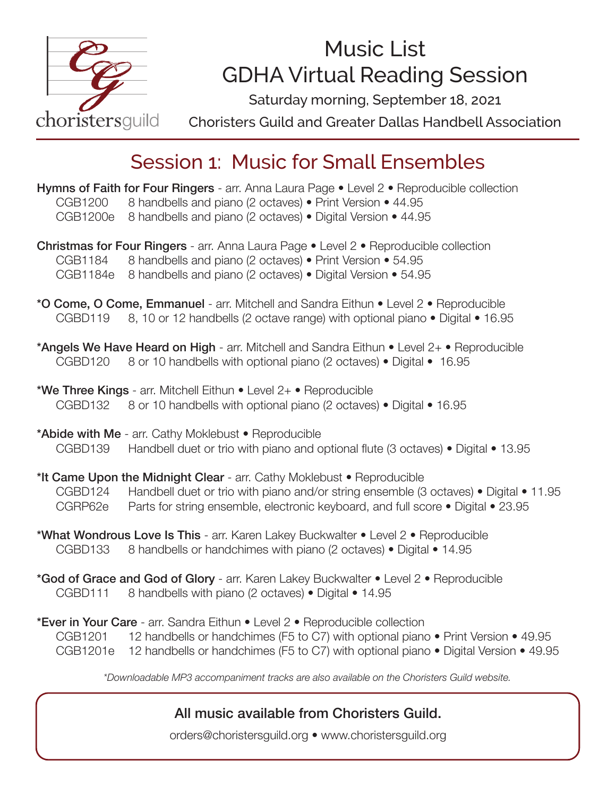

# Music List GDHA Virtual Reading Session

Saturday morning, September 18, 2021

Choristers Guild and Greater Dallas Handbell Association

## Session 1: Music for Small Ensembles

Hymns of Faith for Four Ringers - arr. Anna Laura Page . Level 2 . Reproducible collection CGB1200 8 handbells and piano (2 octaves) • Print Version • 44.95 CGB1200e 8 handbells and piano (2 octaves) • Digital Version • 44.95

Christmas for Four Ringers - arr. Anna Laura Page • Level 2 • Reproducible collection CGB1184 8 handbells and piano (2 octaves) • Print Version • 54.95 CGB1184e 8 handbells and piano (2 octaves) • Digital Version • 54.95

- \*O Come, O Come, Emmanuel arr. Mitchell and Sandra Eithun Level 2 Reproducible CGBD119 8, 10 or 12 handbells (2 octave range) with optional piano • Digital • 16.95
- \*Angels We Have Heard on High arr. Mitchell and Sandra Eithun Level 2+ Reproducible CGBD120 8 or 10 handbells with optional piano (2 octaves) • Digital • 16.95
- \*We Three Kings arr. Mitchell Eithun  $\bullet$  Level 2+  $\bullet$  Reproducible CGBD132 8 or 10 handbells with optional piano (2 octaves) • Digital • 16.95

\*Abide with Me - arr. Cathy Moklebust • Reproducible CGBD139 Handbell duet or trio with piano and optional flute (3 octaves) • Digital • 13.95

- \*It Came Upon the Midnight Clear arr. Cathy Moklebust Reproducible CGBD124 Handbell duet or trio with piano and/or string ensemble (3 octaves) • Digital • 11.95 CGRP62e Parts for string ensemble, electronic keyboard, and full score • Digital • 23.95
- \*What Wondrous Love Is This arr. Karen Lakey Buckwalter Level 2 Reproducible CGBD133 8 handbells or handchimes with piano (2 octaves) • Digital • 14.95
- \*God of Grace and God of Glory arr. Karen Lakey Buckwalter Level 2 Reproducible CGBD111 8 handbells with piano (2 octaves) • Digital • 14.95

\*Ever in Your Care - arr. Sandra Eithun • Level 2 • Reproducible collection CGB1201 12 handbells or handchimes (F5 to C7) with optional piano • Print Version • 49.95 CGB1201e 12 handbells or handchimes (F5 to C7) with optional piano • Digital Version • 49.95

*\*Downloadable MP3 accompaniment tracks are also available on the Choristers Guild website.* 

#### All music available from Choristers Guild.

orders@choristersguild.org • www.choristersguild.org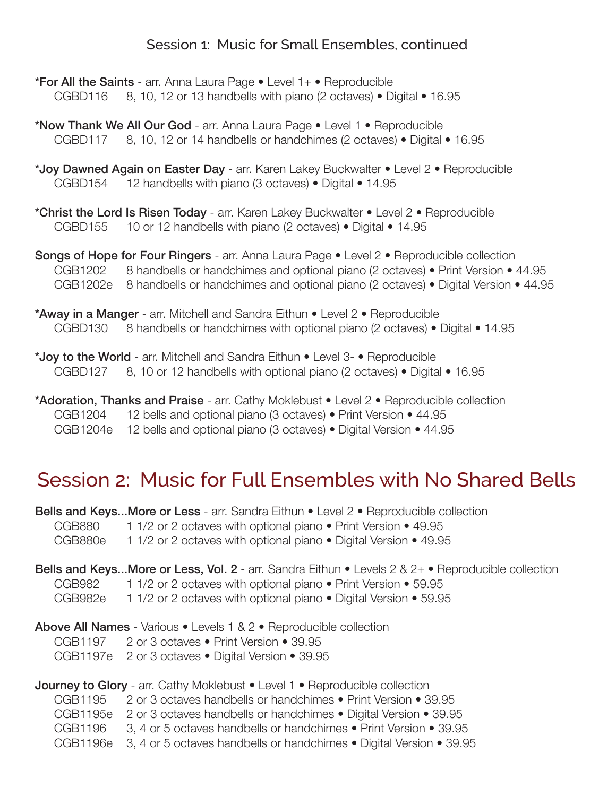#### Session 1: Music for Small Ensembles, continued

- \***For All the Saints** arr. Anna Laura Page Level 1+ Reproducible CGBD116  $8, 10, 12$  or 13 handbells with piano (2 octaves) • Digital • 16.95
- \*Now Thank We All Our God arr. Anna Laura Page Level 1 Reproducible CGBD117 8, 10, 12 or 14 handbells or handchimes (2 octaves) • Digital • 16.95
- \*Joy Dawned Again on Easter Day arr. Karen Lakey Buckwalter Level 2 Reproducible CGBD154 12 handbells with piano (3 octaves) • Digital • 14.95
- \*Christ the Lord Is Risen Today arr. Karen Lakey Buckwalter Level 2 Reproducible CGBD155 10 or 12 handbells with piano (2 octaves) • Digital • 14.95

Songs of Hope for Four Ringers - arr. Anna Laura Page • Level 2 • Reproducible collection CGB1202 8 handbells or handchimes and optional piano (2 octaves) • Print Version • 44.95 CGB1202e 8 handbells or handchimes and optional piano (2 octaves) • Digital Version • 44.95

\*Away in a Manger - arr. Mitchell and Sandra Eithun • Level 2 • Reproducible CGBD130 8 handbells or handchimes with optional piano (2 octaves) • Digital • 14.95

\*Joy to the World - arr. Mitchell and Sandra Eithun • Level 3- • Reproducible CGBD127 8, 10 or 12 handbells with optional piano (2 octaves) • Digital • 16.95

\*Adoration, Thanks and Praise - arr. Cathy Moklebust . Level 2 . Reproducible collection CGB1204 12 bells and optional piano (3 octaves) • Print Version • 44.95 CGB1204e 12 bells and optional piano (3 octaves) • Digital Version • 44.95

### Session 2: Music for Full Ensembles with No Shared Bells

|         | <b>Bells and KeysMore or Less</b> - arr. Sandra Eithun • Level 2 • Reproducible collection               |
|---------|----------------------------------------------------------------------------------------------------------|
| CGB880  | 1 1/2 or 2 octaves with optional piano • Print Version • 49.95                                           |
| CGB880e | 1 1/2 or 2 octaves with optional piano • Digital Version • 49.95                                         |
|         | <b>Bells and KeysMore or Less, Vol. 2</b> - arr. Sandra Eithun • Levels 2 & 2+ • Reproducible collection |
| CGB982  | 1 1/2 or 2 octaves with optional piano • Print Version • 59.95                                           |
| CGB982e | 1 1/2 or 2 octaves with optional piano • Digital Version • 59.95                                         |
|         | <b>Above All Names</b> - Various • Levels 1 & 2 • Reproducible collection                                |
|         | CGB1197 2 or 3 octaves • Print Version • 39.95                                                           |
|         | CGB1197e 2 or 3 octaves . Digital Version . 39.95                                                        |
|         | <b>Journey to Glory</b> - arr. Cathy Moklebust $\bullet$ Level 1 $\bullet$ Reproducible collection       |
| CGB1195 | 2 or 3 octaves handbells or handchimes • Print Version • 39.95                                           |
|         | CGB1195e 2 or 3 octaves handbells or handchimes • Digital Version • 39.95                                |
| CGB1196 | 3, 4 or 5 octaves handbells or handchimes • Print Version • 39.95                                        |

CGB1196e 3, 4 or 5 octaves handbells or handchimes • Digital Version • 39.95